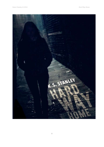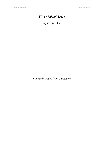# **HARD WAY HOME**

By K.S. Stanley

*Can we be saved from ourselves?*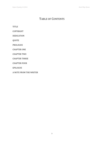## TABLE OF CONTENTS

TITLE

[COPYRIGHT](#page-3-0)

[DEDICATION](#page-4-0)

QUOTE

[PROLOGUE](#page-5-0)

[CHAPTER ONE](#page-8-0)

[CHAPTER TWO](#page-14-0)

[CHAPTER THREE](#page-26-0)

[CHAPTER FOUR](#page-36-0)

[EPILOGUE](#page-43-0)

A NOTE FROM THE WRITER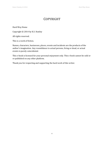# COPYRIGHT

<span id="page-3-0"></span>Hard Way Home

Copyright © 2014 by K.S. Stanley

All rights reserved.

This is a work of fiction.

Names, characters, businesses, places, events and incidents are the products of the author's imagination. Any resemblance to actual persons, living or dead, or actual events is purely coincidental.

This e-book is licensed for your personal enjoyment only. This e-book cannot be sold or re-published on any other platform.

Thank you for respecting and supporting the hard work of this writer.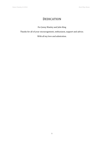# DEDICATION

#### For Jenny Manley and Julie King

<span id="page-4-0"></span>Thanks for all of your encouragement, enthusiasm, support and advice.

With all my love and admiration.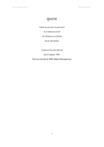# QUOTE

<span id="page-5-0"></span>*Come as you are, as you were*

*As I want you to be*

*As a friend, as a friend,*

*As an old enemy.*

*-Come as You Are (lyrics)*

Kurt Cobain, 1991

Nirvana (band) © BMG Rights Management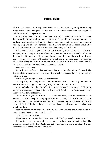### **PROLOGUE**

Hector Starks awoke with a splitting headache. For the moment, he regretted taking things as far as they had gone. The realisation of his wife's affair, their fiery argument and the resort of his physical actions.

All of this had been "his fault" when he questioned his wife's betrayal. She'd thrown the "I was right there" and "you never noticed me" japes. Hector then pointed out that his hard work resulted in their four-bedroomed home and her sparkling diamond wedding ring. She of course ignored it and began to scream and scream about all of those fertility tests. Eventually, Hector stormed out and got into his car.

He'd never felt such anger in his life, but it wasn't just that, he was heartbroken, betrayed, in mourning. A mixture of emotions, one person couldn't manifest all at one time and it led to his downfall. He remembered his mind feeling like a whirlwind when he'd lost control of his car. He'd crashed into a wall and hit his head against the steering wheel. Next thing he knew, he was flat on his back in Holy Cross Hospital, his life attached to a drip and his head bandaged from ear to ear.

#### *Beep. Beep. Beep. Beep.*

Hector looked up from his bed and saw a figure on the other side of the ward. The figure pulled out the plugs of his heart monitor which had caused the noise and Hector's rude awakening.

"What are you doing?" Hector asked alarmingly.

The culprit ignored him; Hector knew the hairstyle from a mile away. His mane of hair was long and straggly and he caught sight of the tattoo on his neck.

It was nobody other than Brandon Rivers, the damaged rock singer. He'd gotten himself into the same predicament as Hector, except Brandon Rivers's car accident was a result of a hedonistic lifestyle.

The media had gone wild with the rock singer's story. The photographers were packed around the hospital, camping outside day and night. One of them had even climbed a tree outside Brandon's window, clicking away hungry to get a shot of him. But as time drifted, so did the media and there hadn't been a single camera or television van in sight for days.

Hector watched as Brandon pulled the IV from his arm and the motion made his stomach lurch. "That can't be good for you."

"Shut up," Brandon barked.

"Hey don't talk to me like that," Hector retorted. "You'll get caught sneaking out."

"I have to leave," Brandon whispered and he walked over to Hector's bed. The musician scanned his bedside table and unhooked the coat from his chair; the one Hector had worn when he'd crashed his car.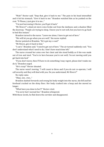"Wait!" Hector said. "Stop that, give it back to me." The pain in his head intensified and it hit his stomach. "Give it back to me." Brandon watched him as he yanked on the coat. "P-Please, j-just give it to me..."

"I'm just borrowing it Hector, you'll get it back."

"Mr Rivers?" a kind yet stern voice broke out from the darkness and a shadow filled the doorway. "People are trying to sleep, I know you're not well, but you have to go back to bed this instant."

Brandon turned to the nurse. "Leave me alone, I have to get out of here."

"We will let you go when you are well," the nurse replied.

Hector pointed at Brandon. "He's got my c-coat!"

"Mr Rivers, give it back to him."

"I can't," Brandon said. "I need to get out of here." The air turned suddenly cool. "You don't understand what I need to do, I don't have much time left."

The nurse crossed her arms over her chest and she stood boldly as if she was made out of iron and steel. "You're in here because you're not well, I'm not moving until you get back into bed."

"If you don't move, then I'll have to do something I may regret, please don't make me do it," Brandon urged.

"He's crazy!" Hector shouted.

The nurse wasn't moving. "I will count to three and if you do not co-operate, I will call security and they will deal with you. Do you understand, Mr Rivers?"

No reply came.

"Okay, one…two..."

Brandon dashed forwards and swung his body weight into the nurse, she fell and her forehead cracked on the shiny floor. Her body crashed into a heap and she moved no longer.

"What have you done to her?!" Hector cried.

"I'm sorry but I warned her," Brandon whispered.

With those words, he fled down the corridor and disappeared.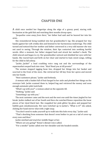### CHAPTER ONE

<span id="page-8-0"></span>A child once nestled her fingertips along the edge of a grassy pond, staring with fascination at the gold fish and watching their mouths droop open.

*"Jacqueline come away from there,"* her father had said and he heaved her into his arms.

She remembered being tumbled into her grandmother's lap. She propped her tiny hands against her soft crinkly skin and listened to her harmonious mutterings. The child turned and noticed that her mother and father conversed in a very odd manner she was not used to seeing. Through the window, their lips contorted into seething hurtful words. After a moment, her father stepped back and struck her mother's cheek. The child winced and began to cry. Her grandmother noticed and shielded her eyes with her hands. She reared back and forth on her chair and started to hum sweet songs, willing for the child to fall asleep.

"Jackie…Jackie!" a loud crackling voice rang out and the surroundings of the supermarket seeped back into view. "*Bzzt!* Need you at till pronto!"

The woman stopped tagging bean tins, dropped her things into her basket and scurried to the front of the store. She retrieved her till key from her apron and moved into her booth.

"Next customers please," Jackie said listlessly.

A woman with a basket full of fruit barged to her aisle and plonked her things on the conveyer belt. Jackie scanned them in, helped bag and retrieved the money and soon enough automatic pilot took hold.

"What's up with you?" a woman asked on the opposite till.

"Nothing," Jackie said.

"Something's up with you."

The next customer came and the next and the next one until the timer jingled for her break. Jackie stalked out of her booth and then she watched Renee reposition the loose pieces of her dyed black hair. She reapplied her pink glitter lip gloss and popped her bubble gum simultaneously. Her eyes twitched up to Jackie's. "What is it?" she asked, clicking her hand mirror shut with a tight snap.

"You don't need to make yourself up to walk into this hole every day," Jackie said.

"That's shocking from someone that doesn't even bother to put on a tad of cover-up every now and then."

Jackie smirked and stuck her middle finger at her.

"Where are you going?" Renee's distant voice called.

"For a smoke!" Jackie called over her shoulder and she headed outside.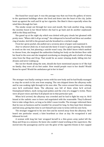She found her usual spot. It was the passage way that ran from the gallery of stores to the apartment buildings where she lived and down into the heart of the city. Jackie leant up against the wall and lit up her cigarette. She liked it there especially when the wind blew through her hair.

The smoke swept out through her nose and mouth. She took another drag, raising the nicotine boost in her blood before she had to go back and do another unpleasant shift in the Shop and Drop.

She gazed up at the night sky which was dotted with grey clouds but gleamed with pretty stars. "Where did it all go wrong?" she whispered to herself and blew out another ring of smoke. Ash fell to the ground and she breathed in a retched cough.

From her apron pocket, she pulled out a scrawny piece of paper and examined it.

*Dear to whoever finds me,* it read and she knew it wasn't a great opening. She needed to work on the rest, but planning a suicide wasn't easy. She didn't know which method to choose from, she imagined the authorities finding her body on the kitchen floor with her head in the oven and she imagined overdosing on sleeping pills and a bottle of cheap wine from the Shop and Drop. That would be an easier relaxing death, falling into her dreams and never waking up.

She ran her thumb along the note, should she have mentioned anyone in it? She had no family; they were all six feet under. How would people react to her death? Would Renee be upset? Would the ambulance get to her in time?

\*\*\*

The stranger was finally coming to terms with his new body and he had finally managed to stop the scratch in his arm from seeping. The rain dripped down the alleyway walls and he was soaking right through to his new skin. The voices around him were calming once he'd confronted them. The alleyway was full of them when he'd arrived. Unemployed fathers, stark raving mad junkies and the cries of a mugger's victim. These were all past voices and they'd all played out in that particular spot.

When he'd arrived, the alleyway was crowded and he had to fight his way in. He'd hissed at the sadistic ones to leave and negotiated with the reasonable. They'd allowed him to take refuge there, as long as he didn't cause trouble. The stranger informed them that he was on business and he wouldn't be around for long. So they kept their distance and hid away, giving him time to sort himself and come to terms with his new form.

The stranger staggered to his new feet and he moved away from the alleyway. He'd heard one particular sound, a faint heartbeat as clear as day. He recognised it and followed its trail.

A woman with long fair hair wrapped herself in a thin green army jacket left the Shop and Drop on a mission. He knew she couldn't stand working at the superstore. She moved into the passageway and he saw the glow of the cigarette bloom in her cupped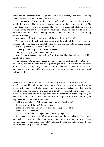hands. The smoke curled from her lips and she blew it out through her nose. If smoking could have been a profession, she'd be an expert.

The stranger kept himself hidden as much as he could but the voices flying around her hit him in waves. They were sad, angry and lonely and they clung to her for life. She couldn't see them biting into her arms and knees, not like he could. He listened to them; each and every one had their own story. There was so much emotion clouding her that he could sense their stories infecting him and he had to knock his head back to stop himself from crying.

A woman exited the Shop and Drop and she looked frantic. "Jackie!"

The woman with the voices stepped away from the wall and the stranger saw how she stamped out her cigarette and stuffed the note she held back into her apron pocket.

"What's up with you?" she asked her friend.

"You've got to come quick," the friend squealed.

"What? What's going on?" the woman asked.

"Quit the questions and come with me!" her friend grabbed her wrist and hauled her back into the store.

The stranger watched their figures fade in between the shelves and soon the voices faded away. For the moment, the stranger was glad of it. He heard the crackle of the thunder across the night sky as the rain intensified. He decided to return to his hideaway and with the sudden silence, the stranger wrapped his arms about himself and retreated.

\*\*\*

Jackie was attacked by a cloud of cigarette smoke as she entered the staff room. It wasn't a remarkable looking room; it was more of a gigantic storage area with a couple of moth eaten couches, a drinks machine and a beaten old television set. Of course, the boss of the Shop and Drop made it quite clear that he was too high in the salary bracket to socialise with them and he always conducted his affairs in his office. Supposedly, he had his own mini bar installed a couple of months ago but that was something the employees had to keep on the down low.

Jackie turned to Renee. "Why won't you tell me what's going on?"

"Just sit down and shut up," Renee replied.

Jackie did as she was told and her friend Randall approached her.

"Want a coffee?" he asked.

"Yeah, thanks Randall, could you tell me what's going on?"

He grinned, sweeping a curl of his long stringy brown hair from his face. "Just wait it out, you'll see." He went to the coffee machine and slotted the money in. He was a nice guy, he'd been working at the Shop and Drop longer than she had and he'd been the one who'd trained her up when she started.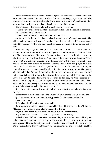Renee bashed the head of the television and Jackie saw the face of Lorraine Thurman flash onto the screen. The newsreader's hair was perfectly sugar spun and she consistently wore red every single night. She always wore a hoop of pearls around her neck and her ruby lips always glistened against the light of the camera.

"Here," Randall whispered, holding the plastic cup in front of her.

"Thanks. Have one of my cigarettes," Jackie said and she laid the packet on the table. Renee bashed the television again.

"You'll break it Ren if you keep doing that," Randall said.

She ignored him, hammering her bunched fist on the head of it again and again. The white specks on Lorraine Thurman's face faded and the static silenced. The newsreader slotted her papers together and she started her evening routine with her million dollar smile.

"Good evening I'm your news presenter, Lorraine Thurman," she said eloquently. "Famous musician Brandon Rivers (lead singer and rhythm guitarist of hit band Fall Into Place) escaped from Holy Cross Hospital this evening, seriously injuring a nurse who tried to stop him from leaving. A patient on the same ward as Brandon Rivers witnessed the attack and informed the authorities that his behaviour was peculiar and different to the days before he escaped. Brandon Rivers who has played music to audiences all over the world was brought into hospital a month ago due to an injury he suffered from a car accident caused by alcohol and narcotics consumption. The patient told the police that Brandon Rivers allegedly attacked the nurse on duty with threats and seemed belligerent to her orders. During the time throughout their argument, the nurse told him to calm down and to go back to his bed, he then knocked her unconscious, fleeing the scene. If anybody sees Brandon Rivers, the police have informed the public to keep a safe distance and to call them immediately. Now, onto the sex scandal that is making headlines everywhere…"

Renee turned the volume down on the television and she turned to Jackie. "See what I mean?"

Jackie stared at the television and she replayed the newsreader's story in her mind.

"Jacks your mouth is open," Randall said, pressing his fingers under her chin.

She blinked. "Sorry."

He laughed. "I told you it would be a shock."

"So what do you think?" Renee asked, perching like a bird in front of her. "I thought I'd let you know, as you are completely obsessed with him."

"If you made a bet on me Randall you'd be a rich man," Jackie uttered.

He grinned and flicked the ash from his cigarette into the ashtray.

Jackie had seen Fall Into Place a few years ago; they were amazing then and had gone global since. Sold out concerts in five minutes, always adding new show dates, people queuing around the blocks to try and get in. Some fans would even climb the walls to get into the arena. It was truly "fandamania" when it came to Fall Into Place. If she could've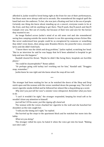afforded it, Jackie would've loved being right at the front for one of their performances, but those seats were always sold out in seconds. She remembered the magical spell the band had over the audience. To her, she was just a floating soul lost in the sea of people. Certainly one thing she knew about standing up at a concert, everyone wants to be at the front, and they will do anything to get there. They'll push, they'll punch and they'll trample over you. Not out of cruelty, but because of their love and awe for the heroes they wanted to see.

An image flashed across Jackie's mind of an old news reel and she remembered seeing fans camping outside the movie theater to see this upcoming science fiction film. She never understood how people could be so enraptured by someone or something they didn't even know...then along came Brandon Rivers, his powerful voice, evocative lyrics and she didn't look back.

"I know there was the drink and drug problem," Jackie replied, scratching her head. "But in an interview he said he was happy that he'd been admitted to hospital to get help and now *this* happens."

Randall cleared his throat. "Maybe he didn't like being there, hospitals are horrible places."

"He could be claustrophobic?" Renee added.

"Or perhaps going cold turkey isn't working out for him," Randall said. "Druggies snap, remember."

Jackie knew he was right and she knew about the *snap* all too well.

The stranger had been waiting for her as he watched the doors of the Shop and Drop swish open and the woman with the voices vanished down the passage way. The trail of sweet cigarette smoke drifted and he followed her almost like a dog picking up a scent.

\*\*\*

*Why don't you just tell her now?* a sinister voice whispered. *Remember what you have to do.*

"I can't it wouldn't be right," the stranger responded, keeping his tread soft so he wouldn't draw any attention to himself.

*Just tell her! It'll be easier, just like ripping off a band aid.*

The woman with the voices chucked her cigarette to the wall and she hunched her shoulders as the rain caught her.

"I told you the timing isn't right," he replied.

She hurried up the steps to the apartment block and he watched her move into the lobby.

*What are you doing?*

The stranger rolled his eyes; he hated it when the voice got into his head. "Making sure she's safe."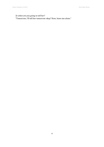### *So when are you going to tell her?*

"Tomorrow, I'll tell her tomorrow okay? Now, leave me alone."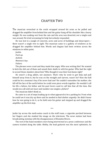### CHAPTER TWO

<span id="page-14-0"></span>The musician wrenched at the cords wrapped around his arms as he pulled and dragged the amplifier from behind him and the guitar hung off his shoulder like a heavy weight. He was soaking wet from the rain and the area was deserted, not a single soul was around. He tried screaming for help but nobody responded.

He was lost in a jungle of concrete, acres and acres of buildings and skyscrapers – there wasn't a single tree in sight. The musician came to a gallery of windows as he dragged the amplifier behind him. Words and slogans had been written across the windows in white paint.

*Junkie. Fuck-up. Asshole. Momma's boy. Failure.*

The phrases were cruel and they made him angry. Who was writing this? He wanted to kick the shit out of them and smash their skulls in with his guitar. Who had the right to scrawl those slanders about him? Who thought it was their God damn right?

He wasn't a drug addict, not anymore. That's why he went to get help and pull himself away from it, but he was on the straight and narrow, wasn't he? How the hell could he be a momma's boy if he never had one? He couldn't remember his mother; she fell off the face of the earth before he could even piece words together. He wouldn't call his life a failure, his father and his past lovers used to call him that all the time. But would you call sold out tours and number one singles a *failure*?

The musician didn't think so.

He came to a set of steps leading up to what appeared to be a parking lot. From what he could see it was dry up there and he needed to find shelter urgently. He didn't know how he was going to do it, so he held onto his guitar and stepped up and dragged the amplifier up the first step.

\*\*\*

Jackie lay across the moth-eaten couch in the staff room, a cigarette perched between her fingers and she studied the image on the television. The news station had been broadcasting nonstop with the disappearance of Brandon Rivers.

The rest of the band members were being interviewed at a press conference and the camera tracked along the table. Bobby, the lead guitarist was the most optimistic, he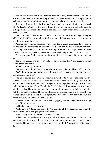seemed to lean over and answer questions even when they weren't directed at him. He was the leader, whenever there were problems; he always seemed to have a plan. Jackie had read an interview with Brandon some years ago where he mentioned Bobby.

He'd said, "Bobby's like the brother I never had, whenever all of us are at each other's throats, he's always the one to break the arguments up and tell us to shut the fuck up. We need someone like that in our band, especially when some of us are hot headed assholes."

Tyler, the bassist covered his face with his hand and he traced his finger along the table cloth. He hid his eyes under thick black rimmed glasses and a green army cap. He was the shy one of the band.

Phoenix, the drummer appeared to not mind being asked questions. He sat back in his seat with his lovely long, sandy hair draped down his shoulders. He was notorious for having a laid-back sense of humour. Nothing fazed him, he always seemed relaxed. Probably the best way to be if you were in a band as globally known as Fall Into Place.

The newsreader finally paused to take a breath and Jackie leaned forwards to listen in.

"Have you anything to say to Brandon if he's watching this?" one eager journalist shouted from the crowd.

"Come back buddy," Phoenix said.

"We need you with us," Tyler uttered, the words seemed to tumble out of his mouth.

"We're here for you no matter what," Bobby said, his voice was calm and reserved. "Always remember that."

The news station ended the interview and switched to a clip of the band in a live concert. Jackie locked eyes with Brandon as he screamed his lungs out into the microphone. She noticed how manic his eyes were as he grabbed the guitar from Tyler and smashed it into the floor. Then he hurled the shattered remains of the instrument into the speaker. There was a moment of silence until the speaker exploded, sparks flew and it lit up the back stage. The camera focused on Brandon, ignoring the sight he had created and then he picked up a second guitar and tossed it into the crowd. The live feed fuzzed and Jackie switched off the television.

"They still haven't found him, he's probably gagging and retching under some bridge I expect," Renee muttered.

Jackie shot cold glances towards her.

"Well, it's true," Renee said honestly. "He got into all those hardcore things and he must have known it was going to end in disaster."

"Hey, the guy has had a hard life," Randall replied.

Jackie raised an eyebrow and she grinned at Renee's reaction who blanched. "So have a million other people but some of them don't go shooting up drugs when things get tough." She crossed her arms over her chest in a huff. "Everything has it's expiry date."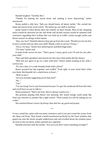Randall laughed. "Tasteful, Ren."

"Thanks for putting the mood down and making it more depressing," Jackie murmured.

Renee pulled a silly face. "Huh *you* should know *all* about, Jackie." She cocked her head and stared at her wrist watch. "We better go, our shift is starting."

Jackie hated it when Renee blew the whistle on their breaks. Most of the shopping aisles would be deserted yet the soft drink and alcohol section would be jammed with customers signalling their trolleys like cars held up in traffic. Lucky enough, Jackie and Renee weren't in charge of that mania.

"Hey, you two?" Randall asked as they got up from the couch. "Would you two be free to have a drink with me after your shift? Maybe a bite to eat too? I'll pay…"

"Sorry, I'm busy," Renee lied, admiring her polished fingernails.

"I'll come," Jackie said.

A smile broke across his face. "That's great, I mean, good, cool. I'll wait for you after your shift."

They said their goodbyes and moved out into store then Jackie felt the silence.

"Why did you agree to go on a date with him?" Renee asked, looking at her with a curious eye.

"It's not a date, it's a safe friendly drink with a *friend*."

Renee pressed her lips together and scoffed. "Yeah right, in your mind that's what you think. But Randall, he's a dark horse at heart…"

"Well, so am I."

"Are you actually suggesting you'd date him?"

"No…"

"Liar."

"I'm not lying! You're just frustrated because I've got the weekend off from this hole and you'll have no one to talk to."

Renee grimaced. "That's not true, there's always Lonely Leo..."

She grinned, playing with Renee was amusing. Her mood swings could easily flip from one extreme to another like a light switch. "Then Lonely Leo will be asking *you* on a date."

She watched Renee's lower lip droop, that shut her up, good and proper.

\*\*\*

It was a small bar, quiet with not many customers and it was just round the corner from the Shop and Drop. They found a booth positioned perfectly by the front window that gazed out onto the street, people walked past and rain trickled down the window pane. As soon as she sat down, Jackie sparked up a cigarette.

Randall returned with the drinks. "You sure you don't want something stronger?"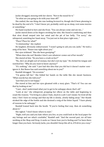Jackie shrugged, messing with her sleeve. "Not in the mood for it."

"So what are you going to do with your time off?"

She smiled, the one thing she was looking forward to, though she'd been planning to be dead by the end of it. "I don't know yet, probably catch up on sleep, rent some movies or something."

His hand reached to hers and she froze. "You can always come and see me..."

Jackie stared down at his fingers stroking her skin. She found it comforting and then that slow dread seeped into her mind and the pit of her belly. "I'm sorry," she whispered, snatching her hand away. "I'm just not in that place right now..."

"Place? Place for what?"

"A relationship," she replied.

He laughed, obviously embarrassed. "I wasn't going to ask you out, Jacks." He took a swig of his beer. "Renee was right about you."

Her eyes widened. "Has she been gossiping?"

"When does she not? Besides I don't care whatever comes out of her mouth."

She stared at him. "Do you have a crush on her?"

"No, she's an alright sort of woman, but she's not my type." He clicked his tongue and watched her. "Why do you want to know anyway?"

"It's nothing," she said "I just had this idea that you did but it doesn't matter now ignore it. But Renee has said *something* about me to you?"

Randall shrugged. "On occasion."

"I'm gonna kill her." She folded her hands on the table like she meant business. "What *exactly* has she told you?"

"Just that you're not happy."

She stared at him and her eyes gleamed with a wary glare. "That's it? You can see that by looking at me."

"I just... don't understand what you've got to be unhappy about, that's all."

"Look at me," she whispered, propping her elbow on the table and beginning to count the reasons. "I'm living in a place I hate, stuck in a job I can't stand, I'm tired all the time, I feel I have no energy and that my life is slowly...slowly fading away." Her thumb stroked the edge of the bottle and she downed a swig of the bitter liquid. "I have plenty of reasons to be unhappy."

Randall leaned back into the booth. "If you're feeling that way, then *do* something about it."

She sighed. "I don't know where to start."

"Right, well you said you hate where you live, so you could look in the local paper for any listings and see what's available," Randall said. "And the second part, we *all* hate working at the Shop and Drop, it sucks so I know how you're feeling and I've been there longer than you have. Seriously Jacks, you shouldn't keep this all in, it'll drive you crazy."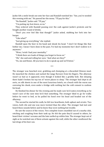Jackie felt a smile break out onto her face and Randall watched her. "See, you've needed this evening with me." He passed her the menu. "I'll pay for this."

"No Randall," Jackie said. "I'll pay."

"I'm putting my foot down, so no."

They ordered with Randall passing over the cash against Jackie's protests and he bought another round of drinks.

"Don't you ever feel like that though?" Jackie asked, stabbing her fork into her burger.

"Like what?"

"Just giving up everything," she replied.

Randall spun the beer in his hand and shook his head. "I don't let things like that bother me, I mean I have done in the past, I've had my moments but I don't wallow in it anymore."

"Wow, I wish I had your mentality."

"I think there are loads of things you forget to focus on."

"Oh," she said and rolling her eyes. "And what are they?"

"Us, me and Renee. All you have to do is speak up and we'll listen."

\*\*\*

The stranger was hunched over, grabbing and chomping at a discarded Chinese meal. He munched the chicken and sucked the tangy flavours from his fingers. The alleyway wasn't as bad as it appeared, even though it looked like a grubby hole. But sleeping there hadn't broken his top ten of 'worst places to sleep.' The stranger had slept in all sorts, on silk sheets in one of the most luxurious hotels, on a beach with the warm sun caressing his cheek, even under a bridge with nothing but the cold cement to cushion his head.

He finished his dinner for the evening and he made sure he'd eaten everything as he wasn't sure of the next time he'd find something. The stranger liked to go for walks before he went to bed, so he pulled his hood over his head and headed out of the alleyway.

The second he started his walk, he felt two heartbeats, both upbeat and erratic. Two voices, both vile and one was more twisted than the other. The stranger had met and heard these sounds before and he knew they were nothing but trouble.

He saw the source of the voices. Two complete losers stumbled out of a nearby club, retching and coughing from their tank up. He felt the pain they'd caused to others, he heard their victims' screams and the hate welled up within him. The stranger kept out of sight as he watched one of them urinate against the wall, while the other swallowed the last dregs of his beer can.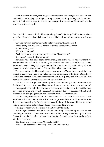After they were finished, they staggered off together. The stranger was on their trail and he felt their longing, wanting to cause pain. He drank it up as they had drunk their liquor. It had been a long time since the stranger had witnessed blood spill and he wanted to witness it again.

The rain didn't cease and it had brought along the cold. Jackie pulled her jacket about herself and Randall pulled his beanie hat over his head, smoothing out his long brown curls.

\*\*\*

"Are you sure you don't want me to walk you home?" Randall asked.

"Don't worry, I've made this journey a thousand times, you head back."

"I don't like it, Jacks."

"I'll be fine," she said.

"Well come and see me tomorrow," he replied. "Promise me."

"I promise," she said. "Now go home."

He waved her off and she began her unusually uneventful walk to her apartment. No matter what Renee had been thinking, an evening out with a friend was what she desperately needed. They had stayed in there for a few hours; she couldn't help but steal glances at the television whenever Brandon Rivers had been mentioned.

The news stations had been going crazy over his story. They'd interviewed the band again, his management and even pulled on some psychiatrists to fill time slots and over analyse the situation. She distinctively remembered a clip they had played of Fall Into Place performing at an acoustic session on some chat show.

The music had always been amazing but it was something about Brandon's eyes. He'd tipped his head, strummed his guitar and sang so sweetly. It was raw and painful, as if he was suffering right then and there. His face was fresh but as he finished the song, he opened his eyes and looked straight at the camera; his eyes seemed red and tired. Almost like he was going through some sort of turmoil or inner torment.

The odd thing was back when their first album had just been released, Jackie was positive that he hadn't boarded the drink and drugs train till later on. Supposedly at the time of that recording (before he got seduced by heroin), he was addicted to taking valium, but again it was fan talk and Jackie wasn't sure if it was true.

This guy certainly was a code she couldn't even try to crack.

Her thoughts were suddenly broken by a loud hiss; she looked up to see two men stumbling towards her. They were as drunk as Hell and they stank like a pair of dead skunks. She tried to keep her composure; acting like she hadn't seen them as she walked into the passageway.

"Hey lady," one of them jeered. "You got a light?"

"No," she said sternly, half wishing she hadn't said anything.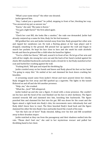"What's your name missy?" the other one shouted.

Jackie ignored him.

"Hey, I asked you a question!" he yelled, stepping in front of her, blocking her way. "You answered my pal, so answer me."

"Karen," she said. "My name is Karen."

"You got a light Karen?" the first asked again.

"No."

"Check her coat Bill, she looks like a smoker," the rude one demanded. Jackie had already conjured up a name for him, *Rudy*, for his foul manners.

Bill grabbed her arm and Jackie twisted away from him. Rudy grasped her other arm and ripped her earphones out. He took a fleeting glance at her tape player and it dropped, smashing to the ground. Bill pinned her up against the wall and began to search her pockets. He kept his face close to hers and she smelt his stale alcoholic breath and then he grinned like a child when he found her lighter.

"You're a little liar Karen," Bill said, waved it in front of her. He let go of her arm and with all her might, she swung her arm out and the back of her hand cracked against his cheek. Bill stumbled backwards and Jackie made a break for it, but Rudy snatched at her coat and hurled her crashing against the wall.

"Fucking bitch," Bill spat and wiped his throbbing lip.

Jackie crawled away on her hands and knees and Rudy placed his foot on her hand. "I'm going to enjoy this." He smiled at her and slammed his boot down crushing her knuckles.

A screaming sound came from Jackie's throat and tears poured down her cheeks. Rudy dragged his foot away and Bill sparked up a cigarette. The lights in the tunnel flickered on and off and she felt another presence.

"Help...me," she croaked.

"What the... *fuck?*" Bill whispered.

Jackie looked up and she saw a figure. It stood with a stone presence. She couldn't see his face and the hood of his coat blanked out his face in utter darkness. The figure zoomed towards Bill and slammed into him, knocking him backwards. The figure punched him and slammed his foot into his gut. Bill was down for the count and the figure aimed a right hook into Rudy's chin, his movements were ridiculously fast and Rudy didn't know how to react. The blow knocked Rudy's head back and the figure slammed his other fist into Rudy's face and Jackie heard the crunch of his nose.

"Get the fuck out of here!" Rudy shouted, falling over his feet and Bill scrambled away in their drunken stupor.

Jackie watched as they ran from the passageway and their shadows melted into the rain. "Please don't hurt me," she said to her mysterious rescuer and pulled her throbbing hand to her chest.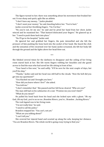The figure turned to her; there was something about his movement that freaked her out. It was sharp and quick, agile like an athlete.

"I don't have any money..." Jackie pleaded.

"I don't want your money," he said, kneeling before her. "You're hurt."

Jackie covered her throbbing fingers. "I'm-I'm fine."

"No you're not, let me see," he said and he pried her hand from her chest. Jackie winced and he examined her. "That bastard dislocated your fingers." He glanced up at her. "I need to push them back into place."

"No I'll go to the hospital," Jackie said.

He ignored her and grabbed her fingers, the pain intensified and she felt the pressure of him pushing the bone back into the socket of her hand. She heard the click and the sensation of fire swarmed over her hand. Jackie screamed, she felt her body fall through the ground and the lights above her head blew out.

\*\*\*

She blinked several times for the darkness to disappear and the ceiling of her living room stared back at her. She felt warm fingers rubbing her knuckles and she gazed across to find the man who had saved her life sitting in front of her.

"Your hand is fine now," he said softly. "It'll be sore for the next couple of days, but you'll be okay."

"Thanks," Jackie said and her head was still half in the clouds. "How the hell did you get into my apartment?"

"You blacked out and I brought you here."

"How did you know where I live?" she asked.

"You told me."

"I don't remember that." She paused and her full focus cleared. "Who are you?"

The man still had on his submarine of a coat. "Promise me you won't faint?" "What do you mean?"

He pulled his hood back from his head and she locked eyes with a ghost. "Oh my God...Oh my God...you're no no no...Brandon Rivers...you're... Brandon ...fucking Rivers."

The rock legend was in her living room.

"I'm not really him," he said.

"I need to call the police."

Brandon stopped her. "You can't, not yet."

"What are you talking about?"

"I can't tell you."

She covered her injured hand and scooted up along the sofa, keeping her distance. "*You* are Brandon Rivers. The whole world is going crazy trying to find you."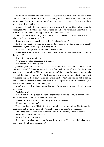He pulled off his coat and she noticed the Egyptian eye on the left side of his neck. She saw the scars and the hideous bruises along his arms where he would've injected himself and she noticed something white laced about his wrist. He wore it like a bracelet, but it wasn't jewellery.

*Brandon Rivers*, had been penned on and underneath in bold block letters was the words, **Holy Cross Hospital**. She ran her gaze up and down his arm and saw the bloom of a bruise where he must've ripped his IV out when he escaped.

"What the hell are you doing here?" Jackie asked. "You should be back in the hospital, where you'll be safe, getting well..."

Brandon pinched his nose in frustration. "I'm here, for you."

"Is this some sort of sick joke? Is there a television crew filming this for a prank? Because if it is, I'm not finding this fucking funny."

He waved off her presumptions. "Don't be ridiculous."

Jackie scrutinized his face in more detail. "Your eyes are blue on television, why are they green?"

"I can't tell you why, not yet."

"Your eyes are blue, not green," she insisted.

"I'm not him," Brandon replied.

Jackie laughed. "You're talking to a hard core fan here, I've seen you in concert, and if you look around..." Brandon glanced at the four walls streaked with Fall Into Place posters and memorabilia. "I know *a lot* about you." She leaned forward trying to make sense of the bizarre situation. "Look...Brandon, you've gone through a lot in your life, if you let me ring the hospital, you can go back and get better." She glanced at her healing hand. "I really appreciate what you've done for me, helping me out with those bozos, but let me return the favour. I want to help you."

Brandon streaked his hands down his face. "You don't understand, I had to come here to see you."

"Well, tell me."

"I can't, not yet." He placed his palms together as if he was saying a prayer. "You're too traumatised. I'll tell you tomorrow, I promise."

Jackie didn't know what to think. "Why did you come here?"

"I know things about you."

That made her laugh. "That's the drugs messing with your mind." She tapped her finger against the side of her head. "You really need to go back to the hospital."

A knowing smile formed from ear to ear. "Ask me a question," Brandon replied.

"Okay, what's my name?" she asked.

"Jackie, short for Jacqueline."

Her stomach lurched and a lump formed in her throat. "You probably looked at my belongings when I was unconscious."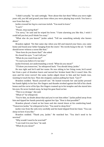"I didn't actually," he said cuttingly. "How about this fact then? When you were eight years old, you fell and grazed your knee when you were playing hop scotch. You have a scar from that day..."

Jackie crossed her leg in a nervous twitch. "You need to leave."

"I can't."

"Please, stop saying that!"

"I'm sorry," he said and he wiped his brow. "I hate alarming you like this, I wish I could tell you but you'll think I'm crazy."

"What else do you know?" Jackie asked. "Tell me something nobody else knows about."

Brandon sighed. "On that same day when you fell and injured your knee, you came home and found your father hanging from the stairs." His words hung in the air. "A child should never witness a scene like that."

"How-how do you know that?" she asked

He closed his eyes. "I can't tell you."

"What do you want from me?"

"To warn you before it's too late."

Jackie frowned, not understanding a word. "What do you mean?"

"I'll show you tomorrow," he whispered back. "You should sleep, Jackie."

He was right and he'd said her name. He was sitting in her living room, he'd saved her from a pair of drunken losers and nursed her broken hand. But it wasn't him. His eyes and his voice weren't the same. Jackie edged closer to him and her hands rose, wanting to touch his face. Then she stopped, caution pulling her back. "Can I?"

Brandon nodded. "Knock yourself out." He leaned towards her and Jackie pressed her hands lightly to his face. Her fingers and thumbs stroked against the hill of his cheek bones and the curve of his lips. Her fingers roamed up to his temples and she stared into his eyes. He never looked away, he kept his gaze fixed on her.

"This is so strange," she said.

"What is?" he whispered.

"You're him, no doubt about that and you're not him either." Jackie pulled away from him and tipped her hands pensively against her lips. "How is that possible?"

Brandon placed a hand on her knee and she stared down at his comforting hand. "Tomorrow Jackie," he whispered to her. "You need to sleep first."

Jackie rose from the sofa very carefully and his hand slipped from her knee. "You can sleep on here if you like."

Brandon nodded. "Thank you, Jackie." He watched her. "You don't need to be worried."

"Why would I need to be worried?"

"I can read it in your face," he said.

"What do you mean?"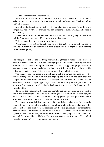"You're concerned that I might rob you."

He was right and she didn't know how to process the information. "Well, I could wake up the next morning, you're gone and so are all my belongings. You'll sell all my stuff to buy drugs."

A small smile flashed across his lips. "If I was planning to do that, I'd be the worst burglar that has ever lived. I promise you, I'm not going to take anything. I'll be here in the morning."

Jackie nodded, trying to pace herself. Her heart and mind were going into overdrive and she felt dizzy as she walked hesitantly into her bedroom

Tell me something nobody else knows about.

When those words left her lips, she had no idea the truth would come flying back at her. She'd wanted him to stumble in failure, except he'd been right about everything, absolutely everything.

\*\*\*

The stranger looked around the living room and he glanced towards Jackie's bedroom door. He walked over to the framed photographs on the mantel piece by the little fireplace and he stared at one particular visual. It was a happy photograph. A beautiful man and woman with an elderly lady, in her lap, a little girl with a cheeky grin. The child's smile made his heart flutter and pain ripped through his forehead.

The stranger saw an image of a pond and a girl, she turned her head to see her parents through the window. They were arguing, the man took one step back and slapped the woman across the face. The stranger felt the force of the blow and he tottered backwards. The young girl began to cry and the elderly woman pulled her into her arms. She began to rock her slowly, back and forth, back and forth and sung her sweet lullabies.

He placed the photo frame back on the mantel piece and he picked up a toy next to one of the photographs. The toy was a scruffy golden bear with one button eye, the other had probably been lost or bitten off many years ago. The pain from before throbbed. It was more intense and the vision flashed before him.

The young girl was slightly older; she held the teddy bear in her loose fingers as she skipped home from school. She called for her father as she entered the hallway of her home. She heard the creak from the staircase and the little girl moved to investigate the peculiar sound. She peered up the stairs to find black polished shoes hitting gently against the wall and the body of her father twirled in the daylight. The child called for him and she dropped her teddy bear. The stranger wanted to shield her, tell her to look away, but he couldn't – as it was already a memory.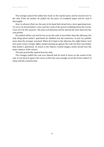The stranger placed the teddy bear back on the mantel piece and he moved over to the sofa. From his pocket, he pulled out the piece of crumpled paper and he read it thoroughly.

*Dear to whoever finds me*, the pain in his head had turned into a slow agonising burn. *I'm sorry*, he heard Jackie's voice and the crush of the pencil scribbling down the words. *I just can't do this anymore.* The pain scorched him and he shoved the note back into the coat pocket.

He yanked off the coat and he lay across the sofa. It was better than the alleyway, the only thing about Jackie's apartment he disliked was the memories. It was too painful, more than the stranger assumed. When he'd slept in the alleyway the night before, he'd seen past events, tramps, fights, people pissing up against the wall, but that was fainter than Jackie's apartment. As much as the objects created images, Jackie herself was the main conjurer of the visions.

The pain practically seeped from her skin.

The stranger pulled the coat over himself and he tried to focus on the sound of the rain. It was hard to ignore the voices at first but soon enough, he let the fresh comfort of sleep entirely consume him.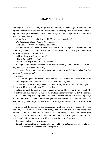### CHAPTERTHREE

<span id="page-26-0"></span>The night was as hot as Hell, the perfect opportunity for partying and drinking. Two figures emerged from the club and made their way through the street. One particular figure's footsteps interweaved, virtually creating the number eight yet the other, left a trail of sobered agility.

*"Right I'm off,"* the straight figure said. *"See you next week, Dez."*

*"Hey Jackie, don't I get a huggie?"* Dez asked.

She hesitated. *"Okay, but I gotta go home after."*

Dez wound his arms around her and pressed his mouth against her coat shielded shoulder. Jackie felt his hands race and he rubbed the side of his face against her cheek, his lips on a mission to touch hers.

Jackie pulled away. *"Don't do that."*

*"What? Why not? It'll be fun."*

*"Because I know you don't mean it. Not really."*

He laughed and his voice cracked. *"Why are you such a god damn prude Jackie? We're old friends, so it does mean something."* 

*"Then why did you make the same moves on Leanne last night? She watched him find the pre rehearsed words."*

*"I was dr—"*

*"I was drunk,"* Jackie imitated. *"Goodnight, Dez."* She turned and started down the road but he grabbed the back of her neck. "*Get your hands off me!"*

*"You're the one getting huffy when you should shut your fucking mouth and enjoy it."* He unzipped his jeans and pushed her neck down.

Jackie's stomach lurched and the nausea swelled up like a lump in her throat. She broke from him and she caught sight of his smile and that was when she felt the change.

It was like having a shade pulled back, she felt herself melting into something else, a fraction of herself she had to keep submerged. Her fists turned into a forceful punch and when he let go, she lunged forwards and pushed against his chest and he fell into the road.

A car turned the corner, its engines roaring on full blast and on towards where Dez was lying. Jackie watched, her heart racing, skipping into double beats. Dez's head flopped against the cement and he lolled to the side. His eyes widened as the car grew larger in size. A muffled scream came out of his mouth, the head lights gleamed into his eyes, he pulled himself up and he wobbled to the other side of the road.

He'd made it clean, just by a second.

He looked across at Jackie. She stared at him and her eyes turned into a deep glare. *"So what does this mean for us now?"* Dez jeered.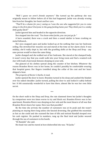*"Well I guess we aren't friends anymore."* She turned up the pathway she was originally meant to follow before all of this had happened. Jackie was already erasing him from her thoughts, her heart and her care.

*"That'll be a shame for you J, seeing as I was the one who suggested for you to come along in the first place! Everyone in the gang fucking hates you! They think you're a snidey little geeky bitch!"*

Jackie ignored him and headed in the opposite direction.

Dez stepped into the road. *"You know what Jackie, you can just go fu-"*

A horn sounded, there was a crack and then a sound similar to bone crashing on metal followed...

Her eyes snapped open and Jackie looked up at the nothing that was her bedroom ceiling. She stretched her muscles out and stared at the time on her alarm clock. It was midday, she'd really slept in, but with the gruelling shifts at the Shop and Drop - any sane person would've done the same thing.

Jackie changed and she walked out of her bedroom. She stared at the slumped body, it wasn't every day that you could walk into your living room and find a wanted rock star with loads of personal demons sleeping on your sofa.

She glanced at his clothes spread along the counter of her kitchen. Whatever the reason Brandon Rivers was in her home, he couldn't possibly be comfortable wearing that hospital gown. Her fingers trembled along the collar of the coat and her heart skipped a beat.

*The property of Hector L Starks*, it read.

Jackie opened the door to leave; Brandon turned in his sleep and yanked the blanket over his naked shoulder. Jackie turned, pulling the door to and locked it safely behind her. It felt unnaturally wonderful to have him there, almost like he was her own little secret.

\*\*\*

On the short walk to the Shop and Drop, the rain slammed down but Jackie's thoughts by comparison were ten times worse to try and block out. Brandon Rivers was in her apartment, Brandon Rivers was sleeping on her sofa and the most bizarre of all was that Brandon Rivers knew her name. How was that possible?

By the time she arrived, the number of customers was at its peak and she wasn't planning on staying there long unless she fancied drowning. She grabbed the essentials as fast as she could and she scanned the lane of tills and noticed Randall stooped over his cash register. He pushed in numbers, rang up the final total and Jackie weaved through the sea of customers to his booth.

"Hi Randall," she said.

His head rose and he stared at how dishevelled she was. "Hi Jacks."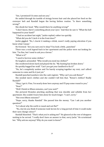"See, I promised I'd come and see you."

He smiled through his tumble of stringy brown hair and she placed her food on the conveyer belt and Randall began the boring listless routine. "Is there something wrong?"

She shook her head. "Why would there be anything wrong?"

"I don't know, there's something about your eyes." And then he saw it. "What the hell happened to your hand?"

"I had an accident last night," Jackie replied, rather too quickly.

"What did you do? Catch it in the front door?"

Jackie giggled. "No, I...burnt it making a drink, wasn't really paying attention if you know what I mean."

He frowned. "Are you sure you're okay? You look a little...panicked."

There was a rock legend back in her apartment and the police were out looking for him. "I'm fine, but I need to ask you a favour."

"What is it?"

"I need to borrow some clothes."

He laughed, astounded. "Why would you need my clothes?"

She swallowed down hard and played the lie. "My heating has broken down."

He quickly bagged her stuff. "Can't you get your landlord to fix it?"

"No, he's completely useless and I'm barely scraping together my rent, can't afford someone to come and fix it just yet."

Randall punched numbers into the cash register. "Why can't you ask Renee?"

She needed men's clothes and she couldn't tell him that. "Renee's clothes? Really Randall?"

"Okay, I get it. Fine, I'm nearly done here anyway and I'll pop some round to you." "Now?"

"Well I finish in fifteen minutes, can't you wait?"

She pictured Brandon pinching anything that was durable and sellable from her apartment. She couldn't leave him alone for much longer. "I can't, sorry."

"Not even fifteen minutes?"

"Nope, sorry, thanks Randall." She passed him the money. "Can I ask you another question?"

"Is it about why the earth is round and not flat?"

"No...but do you think if someone took heroin for a long period of time it could make their eyes change colour?"

Randall blanched. "That's what you're asking me?" He glanced at the row of shoppers waiting to be served. "I really don't have an answer to that, sorry Jacks." He scrutinized her. "Why ask me anyway? Why do you want to know?"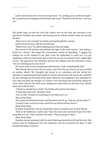Jackie stared back at his concerned expression. "It's nothing, just a random thought." She scooped up her shopping and she had to get away. "Thanks for the favour, I owe you one."

\*\*\*

The plastic bags cut into her arms like cheese wire by the time she returned to her apartment. Brandon was awake and moving and he looked startled when she opened the door.

"Does it ever stop raining?" he asked, peering through the curtains.

Jackie closed the door and she watched him.

"Where were you?" he asked, stepping down from the ledge.

She moved to the kitchen and plonked the bags on the work surface. "Just asking a friend for a favour." She began the ceremonious routine of unpacking. "I suggest not looking out of the window if you don't want the authorities to catch you. I've got neighbours with eyes like hawks that would sell you out in seconds if they caught sight of you." She glanced to the television and his face flashed onto the television screen. "Are you checking up on your story?"

He stared at the screen, locking eyes with himself. "Yeah, something like that."

What should she say now? Do you want a cup of tea? By any chance, are you working on another album? Her thoughts had drawn to no conclusion and she turned her attention to unpacking the food. Maybe it was her paranoia but she swore she could feel his eyes burning into the back of her skull. Maybe he was laughing at her, thinking she was crazy and then she thought of a camera crew discreetly and secretively taping her every move. She put the food away, making sure they lined up and she even cleaned them just to fill the time.

"I think you should have a bath," she finally said out from the silence.

"Is that okay with you?" Brandon asked.

"Yes, it's fine. I'll make us something to eat while you're in."

*Bang. Bang. Bang.*

The sound echoed from the door and Brandon's face lit up. "Did you call the police?" "I haven't told a soul you're here, that'll be my friend with my favour."

*Bang. Bang. Bang.*

Brandon watched her with an animal like caution and Jackie saw his fists ball up.

"Hide in the bathroom," Jackie said. "Close the door and I promise I'll get rid of him as quickly as I can." They watched each other. "Please, just get in there."

#### *Bang. Bang. Bang.*

Brandon moved cautiously with his eyes flickering towards herself and the door. She waited until he disappeared into the bathroom and she answered the door to find Randall clutching a rucksack.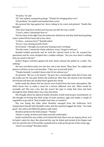"Hi Jacks," he said.

"Hi," she replied, eyeing the package. "Thanks for bringing them over."

"No problem," he replied and handed them to her.

She pressed the bag against her chest, taking in his scent and grinned. "Smells like Randall."

"Hey, don't hog those clothes just because you like the way I smell."

"I won't, unless I absolutely have to."

The low hum of the light from the bathroom whirled on and they both heard gushing water. Jackie felt her heart jolt in her chest.

"Is there... someone here?" Randall asked.

"No no, I was running myself a bath."

He frowned. "I thought you said your heating wasn't working."

"Not the water, I meant the shitty radiators, sorry, I forgot to tell you."

Randall nodded pensively and he took her injured hand in his. He scanned her apartment and his voice dropped into a sudden whisper. "Are you sure there's nothing that you need to tell me?"

Jackie's fingers twitched against the door knob; instead she pulled on a smile. "No, nothing."

His eyes travelled warily over her face and to her hand. "Okay then," he replied and placed a soft kiss on her sore knuckles. "Take care of yourself, Jacks."

"Thanks Randall, I wouldn't know what I'd do without you."

He grinned. "Me too, to be honest." He gave her a meaningful wink full of tease and she made sure he was gone before she locked up. After that, she stared at her knuckles he'd kissed and then she stroked them against her cheek.

Jackie made the dinner but her nerves were frayed from the tense atmosphere. She didn't know how to make a meal for a heroin addicted rock star. What would he normally eat? She was a fan, but she wasn't the type to study that close and hunt through his bins. Maybe there was a fan who knew.

She thought about his physical health, Brandon would need proper nourishment, so she thought of serving him thick strips of meat, potatoes, eggs and maybe a couple of vegetables to go with it. That wouldn't hurt him, or would it?

She was laying the table when Brandon emerged from the bathroom, he'd transformed himself with Randall's attire and the material hugged his body. "You look good," she said as she filled the glasses with water.

Brandon picked at the black jumper. "Thanks."

"Dinner's ready, sit down and make yourself comfortable."

Jackie watched his eyes widen as he tasted the food, there was an urgency there, as if he hadn't eaten for days. She observed the way he licked and sucked at his fingers and how he used the slice of bread like a paintbrush to soak up the grease of the runny egg.

"Aren't you eating?" Brandon asked.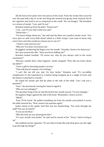All she had on her plate were two pieces of dry toast. From the events that occurred over the past half a day or so the last thing she wanted was greasy food. Instead, she lit her cigarette and tried to act as composed as she could. "No, not hungry." She breathed in a stream of smoke. "I am...and I'm not."

Brandon looked up from his plate. "Excuse me?"

"*I am... and I'm not*, that's what you said."

"About that---."

"You know things about me," she said and she blew out a perfect smoke circle. "You were spot on with every little detail, which is a little creepy. I just want to know why you're here and why would you choose me to run to?"

"I had to come and see you."

"Why me? You don't even know me."

He giggled, smothering his fingers over his mouth. "Actually, I know a lot about you."

Her eyes turned into slits. "Have you been stalking me?"

Brandon looked insulted. "Of course not, why do you always rush to the worst conclusion?"

"Because usually that's what happens," Jackie snapped. "How did you know about my father?"

"I have a gift for knowing people's secrets."

"That still doesn't explain a lot of things."

"I can't flat out tell you why I'm here Jackie," Brandon said. "It's incredibly complicated, it's the equivalent to a button being wrapped up in a tangle of wires and the button is attached to a bomb."

He wiped his mouth and slid his plate to the side of the table. "Can I ask you a question?"

"Sure," she murmured, waving her hand to signal it.

"Why are you unhappy?"

The question hung in the air and the food in her mouth soured. "I'm not unhappy."

He tapped a finger against the side of his head. "Remember, I know secrets."

"What?"

"Fine, I'll be frank." He pulled something out from his pocket and pushed it across the table towards her. "Now, answer my question again."

Jackie stared at the spider trail that was her handwriting. "You went through my stuff? You son of a bitch!"

"It was on the floor."

"Why the fuck are you showing me this?"

"It's your suicide note Jackie," he said and he stared at her. "Sorry, I had to bring it up."

She stubbed out her cigarette. "It's not what it looks like and what gives you the right to go through my things?"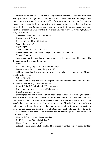Brandon rolled his eyes. "You won't hang yourself because of what you witnessed when you were a child, you won't put your head in the oven because the image makes you cringe and you won't throw yourself in front of a moving truck. At the moment, you're leaning towards filling yourself up with sleeping tablets and flushing it down with a bottle of Jack Daniels or the cheap stuff from the Shop and Drop. Now, am I right?" He crossed his arms over his chest, examining her. "So yeah, you're right, I know every little detail."

Jackie swallowed. "Isn't it obvious why?"

"I want to hear it from you."

"I'm sick of it...and I want it to stop."

"Want what to stop?"

"My thoughts."

"Tell me about them," Brandon said.

Jackie downed her drink. "I can't tell you, I'm really ashamed of it."

"You won't shock me."

She pressed her lips together and she could sense that surge behind her eyes. "The thoughts...in my head...they haunt me."

"Why?"

"I can't stop imagining all of these horrible things."

"Does the name Dez mean anything to you?"

Jackie smudged her fingers across her eyes trying to hold the surge at bay. "Please, I can't talk about him."

"Who is he, Jackie?"

"Someone I knew way way back in the past, I thought he was a friend and I found out in the most horrible way how much he wasn't."

He twirled the fork in his hand. "What happened?"

"Don't you know all of this already?" she asked.

"I want to hear it from you."

Jackie sighed with exhaustion and then she nodded. "We all went for a night out after work, I used to work in a bar before I found the Shop and Drop. It was really late. Dez and I lived in the same area so we walked home. He'd had too much to drink as he usually did, I had one or two but I knew when to stop. I'd walked home drunk before and I could hardly see where I was going. Dez got too friendly with me and we started to argue, he was losing it and on the verge of hitting me. I pushed him and he fell into the road. He was vile...and then..." She slammed her fist into the palm of her other hand. "And that was that."

"How badly hurt was he?" Brandon asked.

"Bad," she replied. "Wheel chair bad."

"He won't walk again, will he?"

Jackie shook her head and she twiddled her fingers in her lap. "He's a cripple for life."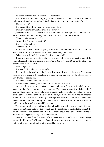He leaned towards her. "Why does that bother you?"

"Because if we hadn't been arguing, he would've stayed on the other side of the road and that truck wouldn't've hit him." She looked at him. "So...I am responsible for it."

"No, you're not."

"Leanne and the others were very clear about that."

"Didn't you tell them what he tried to do to you?"

Jackie shook her head. "I was too scared, and plus Dez was right, they all hated me. I mean, I tried to tell them but they didn't listen to me. He'd got to them first."

"You're a naive creature, Jackie."

She nodded. "I know, I know that."

"I'm sorry," he sighed.

She frowned. "What for?"

He bowed his head. "That I'm going to hurt you." He marched to the television and tugged at the socket, the flash of the screen immediately died away.

"What are you doing?" Jackie asked, rising from the table.

Brandon crouched by the television set and splayed his hand across the side of the box and it sparked to life. Jackie's eyes darted to the screen and then to the plug, lying disconnected from the wall.

"How did you...?"

"Just watch," Brandon said pressingly.

He moved to the wall and his clothes disappeared into the darkness. The screen tweaked and crackled with the static and then a picture as clear as day stared back at her. It was her apartment.

"Brandon...? What is this?" she asked.

"Please Jackie," he whispered. "Don't make this harder for me."

She turned back to the television screen and clapped eyes on Randall; he was banging on her front door and he was shouting. The screen was mute and she couldn't hear anything but from her friend's facial expressions he wasn't happy. In fact he was in deep distress. Randall slammed his fist on the door, he took a step back and he smashed it down like a wrecking ball. He barged through her apartment and he was bellowing. She wondered if he was shouting her name. Randall kicked the door of her bathroom in and he lurched through and stood like a stone.

The scene switched to another angle and Jackie clapped eyes on herself. She was lying in the bath, the water up to her neck and the cool blade of the knife lay against the flat of her belly. She watched herself and her friend argue and Randall was pointing at the knife she hugged as dearly as a newborn child.

She'd never seen him that way before, never seething with rage; it was strange seeing him like that. She'd watched Randall for years deal with the rudest customers and not a flicker of irritation from them would affect him.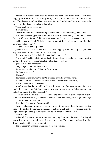Randall and herself continued to bicker and then her friend dashed forwards, stepping into the bath. The damp grew up his legs like a sickness and she watched herself pull away from him. Then they were fighting, Randall used his arms to catch the knife in her hand and she kicked at her friend.

That wasn't her on the screen.

It couldn't be.

She was hideous and she was biting out at someone that was trying to help her.

Onscreen Jackie stopped and Randall hovered as if he was being carried by a breeze. Then, he fell back, his body fell into the bath and impaled in his chest was the knife.

Jackie shook her head. "This isn't real, I wouldn't do that. I wouldn't hurt Randall, never in a million years."

"You will," Brandon responded.

Jackie watched herself break down; she was hugging Randall's body so tightly she may have been lost out at sea. "No, you're wrong."

"I'm never wrong, Jackie. Why do you think I came here?"

"Turn it off!" Jackie yelled and her back hit the edge of the sofa. Her hands raced to her face, the tears were uncontrollable, hot and unavoidable.

"Jackie," Brandon whispered.

"Why did you have to show me this?"

He stroked her shoulder. "I had to, I'm so sorry."

"So I'm a murderer."

"Not yet."

How could he just say that to her? His words hurt like a wasp's sting.

"I had to show you," Brandon said delicately. "There was no other way."

"I won't hurt Randall," she cried.

Brandon grabbed her shoulders. "You will! Now Dez's fate was not your fault and you let it consume you. But if you keep going down the route you're following, someone will get hurt...and it will be your fault."

"That doesn't...make...any...sense!" She tried to breathe out in small streams, but she could feel her ribs cave in. Jackie heaved herself to her feet feeling the weight in her legs as if she had been tied to an anchor.

"Breathe Jackie please," Brandon said.

She pushed passed Brandon's eyes and moved into her own mind. She could see it so clearly, the cold of the night air pressing against her cheek as her feet hovered over the edge. She imagined the ground from down below streaked with the words.

#### **Embrace me.**

Jackie felt her arms rise as if she was mapping them out like wings. One leg fell forward, slipping clean and she drifted over the edge. The scream tumbled from her throat and she felt her body plummet.

"Jackie breathe," Brandon whispered from somewhere.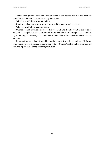She felt arms grab and hold her. Through the mist, she opened her eyes and her hero stared back at her and his eyes were as green as ever.

"What are you?" she whispered to him.

Brandon cradled her in his arms and he wiped the tears from her cheeks.

"What are you?" she whispered again.

Brandon leaned down and he kissed her forehead. She didn't protest as she felt her body fall back against the carpet floor and Brandon's kiss found her lips. As she tried to say something, he became passionate and insistent. Maybe talking wasn't needed at that moment.

His urgent hands pulled at her shirt and he ripped it over her shoulders. All Jackie could make out was a blurred image of her ceiling, Brandon's soft skin brushing against hers and a pair of sparkling emerald green eyes.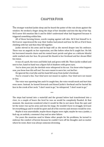### CHAPTERFOUR

<span id="page-36-0"></span>The stranger watched Jackie sleep and he heard the patter of the rain drum against the window. He stroked a finger along the slope of her shoulder and into the dip of her hip. He'd never felt emotion like it and he didn't understand what had happened because it triggered something within him.

All of those burning kisses, words rasping against soft skin. He'd lost himself to it. He'd never experienced the way their bodies had joined and how he felt as if he'd been climbing with her and then they fell together.

Jackie stirred in his arms and he kept still as she moved deeper into his embrace. There was no anguish on her expression, not like before when he'd caught her. He felt his borrowed innards churn and his rented heart perish and glow as a delicate blissful smile washed onto her face. He pressed his thumb to her forehead and her dream filled his vision.

It was of a park, the trees and fields lush and green with life. There Jackie walked and next to her, hand-in-hand was a figure full of shadows with green eyes.

*You've done your job*, the devilish voice whispered in his ear. *You know what happens now, you know how this will end. You were meant to warn her, not bed her.*

He ignored the cruel jibe and his hand fell away from Jackie's forehead.

*You've crossed a line. Your kind were not meant to explore. Your kind were not meant to love.*

The voice was upsetting him and if it caught him, the voice would mock and hurt him even more. Instead, he leaned forwards and kissed Jackie's forehead and he buried his face in the crook of her neck. "I don't want to go," he whispered. "I don't want to go."

\*\*\*

The steps had turned into a waterfall and the ground below had transformed into a river, in a couple of hours the level he was on would be completely flooded. At that moment, the musician wondered what it would be like to not move from the spot and let the water rise up his arms and into his lungs. He wouldn't have to struggle, he'd just let everything go and it would be quiet and all of his worries and stresses would be over.

Maybe it was unavoidable, maybe those slogans were right; maybe he was a junkie, a fuck-up, an asshole, a momma's boy and an utter failure.

For years the musician used to blame other people for his problems, he turned to embrace the comfort of heroin because he couldn't turn off his thoughts and no matter where he went, there was always someone drowning.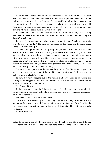When his band mates tried to hold an intervention, he wouldn't listen especially when they opened their souls to him because they were frightened he wouldn't survive and he cut them down. To him, he didn't have a problem and he didn't want anyone sucking up to him. Ever since his band made the charts, that was all people ever did. They never did that when they were barely scraping by, touring from venue to venue, deciding whether to spend their money on food or gas.

He remembered the first time he overdosed with heroin and to him, it wasn't a big deal. He didn't even know what had happened until he realised he'd missed a couple of days off the calendar.

Bobby his friend said one time when he saw him shooting up; "You know that stuff's going to kill you one day." The musician shrugged off his words and he surrendered himself to the euphoric glow.

The media had gotten him all wrong. They thought he'd crashed his car because he wanted to kill himself. He'd lost control purely because he was a drug addict. The musician always knew that he was a damaged and screwed up person. When you have a father who was obsessed with the military and who'd beat you if you didn't come first in a race, you aren't going to have the most positive outlook on life. He used to despise his mother for leaving him alone, and then as he got older, he understood why she'd thrown herself off the top of their apartment building.

The musician stopped at that thought and he got to his feet. He swung his guitar on his back and grabbed the cable of the amplifier and set off again. He'd have to get to higher ground or else he'd drown.

He turned corners, dodging out of the rain and hiked up more steps cursing and spitting as he dragged the boulder of an amplifier. He'd come to another level and he frowned at the building before him.

The Shop and Drop.

He didn't recognise it and he followed the scent of ash. He saw a woman standing by a wall smoking a cigarette. She had long fair hair and wore a green jacket, not suitable for the relentless rainfall.

"Wh-what is this?" he asked her anxiously.

The woman's stare was long and unmoving and then she slowly raised her arm and pointed at the slogan scrawled along the windows of the Shop and Drop. Just like the cruel words from before, they were written on in white paint and it frightened him as he read them.

*Wake up, Brandon.*

\*\*\*

Jackie didn't find a warm body lying next to her when she woke. She twisted the bed sheet about herself and heard the television echo from the living room. She felt a sense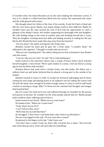of warmth when she found Brandon sat on the sofa studying the television screen. It was as if a shade or a blind had been lifted from her senses. Her apartment felt cosier and the walls glowed with colour.

She thought about her father at the time of his suicide, if only he'd had a friend just like her new house guest. Maybe, just maybe things could've been different. Maybe he wouldn't have put the rope around his neck if he'd had the opportunity to catch a glimpse of his family's future. His mother supporting his distraught wife and daughter. His wife finding refuge in the arms of another man and drinking herself into a coma. Then his daughter, working dead end shifts and finding serenity in ending her life just like he did. Would that have made him step away from the banister?

"Are you okay?" she asked, moving into the living room.

Brandon turned his head and he gave her a tired smile. "I...couldn't sleep." He indicated to the cigarette. "I thought it would calm my nerves."

"Why are you watching him?" she asked, sitting next to him as Brandon's face flashed onto the screen.

"I can see why you are a fan," he said. "He is a fascinating guy."

Jackie turned to the television where only a couple of hours before she'd watched herself slaughter a close friend. "We're quite similar in a sense...I lost my Dad at a young age, he lost his Mom, both suicides."

Brandon Rivers had come from a broken home, just like Jackie. His father was a military hard ass and Jackie believed that he played a strong part in the suicide of his mother.

Brandon turned to music in order to escape his fractured upbringing and he knew writing his own songs and playing music to an audience was his calling. His career took off with the band, soon enough he'd made enough money to swim in and he still found comfort in turning to drugs. Why? To block out the constant bad thoughts and images that haunted him?

But if it wasn't for what he'd seen and suffered through, he wouldn't be the person he'd grown to become. He wouldn't be the artist people adored him for. Maybe people had to embrace their suffering and not fear it.

Jackie turned to her friend. "Where do you come from?"

He looked at her. "Where do *I* come from?"

"Yeah, where do you live?"

"I can't tell you that, sorry."

"Well what do you look like then?"

He shrugged. "I don't have a real body that's why I had to use Brandon's."

She sat cross legged on the sofa. "Do you even have a name?"

He glanced to the fingers in his lap. "I don't have one."

"You don't have a name? Come on, that's silly, everyone has a name. I bet even the ants when they go out to work call each other by something."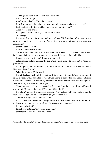"You might be right, but no...I still don't have one."

"But your eyes though..."

Brandon smiled at her. "You like my eyes."

"I do, Brandon suits them, but I bet you can't tell me why you have green eyes?"

He shook his head. "No I can't tell you, what do you think I am?"

"An angel," Jackie smiled.

He laughed, flattered and shy. "That's a cute word."

"So I'm right?"

"I can't say, but there is something I must tell you." He breathed in his cigarette and blew out smoke in one clear stream. "You can't tell anyone about me, not a soul, do you understand?"

Jackie nodded. "I won't."

"I mean it, nobody can know."

The room went silent and they turned back to the television. They watched the news file through their stories, the missing singer was still the sting of the tabloids.

"Randall is in love with you," Brandon announced.

Jackie glanced at him, noticing the eye tattoo on his neck. "He shouldn't. He's far too good for me."

"I think you knew the moment you met him, Jackie." There was a beat of silence. "He's been through a lot."

"What do you mean?" she asked.

"I can't disclose much but...he's had hard times in his life and he's come through it. He has a strong will...I could feel it when I was hiding in the bathroom." Brandon turned to her and he smiled. "He'll stand by your side for better or for worse, and he'd fight for you till the very end. He's the real angel."

"You're going to make me cry again," Jackie replied as she replayed Randall's death in her mind. "But what about you? What about Brandon?"

"Brandon?" he asked, arching his eyebrow. "He's asleep right now, believe me it's what he needed and he will benefit from this, I promise you."

"And the nurse you attacked?" she added.

His face filled with worry and he wiped his brow. "She will be okay, look I didn't hurt her because I wanted to, I had no choice she was getting in my way."

"I'm not saying that."

He looked frightened. "But you're asking me."

Jackie touched his knee. "Are you okay?"

\*\*\*

*She's getting to you, she's digging too deep, you've let her in*, the voice cursed and sang.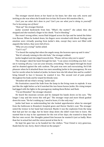The stranger stared down at her hand on his knee; her skin was soft, warm and inviting as she was when she'd made love to him. He'd never felt emotion like it...

*Can't you see what she's done to you? Can't you see what you're doing to yourself? You're becoming one of them!*

"Shut up!" the stranger blurted.

Jackie scooted backwards from him. "What's the matter?" she asked, then she stopped and she touched a finger to his cheek. "You're bleeding."

She wasn't wrong either, warm fluid dripped across his lips and he tasted the bitter iron flavour. When he looked down, his fingers were streaked with blood. Feelings and emotion were virtually pouring from Jackie's skin, except they were not filled with anguish like before, they were full of love.

"Why are you crying?" Jackie asked.

"Can't I cry?"

"I've heard the saying that when the angels weep, the heavens open up and it rains." "But it's already raining in this shit hole," the stranger sobbed.

Jackie laughed and she edged towards him. "Please, tell me why you're upset."

The stranger raked his hand through his hair. "I can sense everything you feel, I can see it running off you, I can see your dreams, everything." Pain ripped through his head and he shunted against the sofa cushion. The pain was new and excruciating. He'd felt pleasure when he'd attacked those two men assaulting Jackie in the passageway. He was lost for words when he looked at Jackie, he knew how she felt about him and he couldn't bring himself to face it because he wanted it too. The second reel of pain pulsed throughout his body and he wiped his bloody nose.

"Brandon tell me what's wrong," Jackie said.

His frustration caused the bulb from the lamp in the living room to explode. It was just like the night before as he'd watched the two bozos harass Jackie. His rising temper had jigged with the lights in the passageway making them flicker and flash.

"I'm not Brandon!" the stranger shouted.

He heard the musician scream and he clamped his hands down on his ears. "The longer I stay and the worse this will get." The stranger wept and more blood gushed down his nose. "He-he's waking up, I need to leave, it's the only way."

Jackie had been so understanding but she looked apprehensive when he emerged from the bathroom in Brandon's hospital gown and Hector Starks's coat. The stranger noted the tremor in her hand had returned. Maybe it was the explosion from the lamp that had put her on edge, but he knew deep down she didn't want him to leave. She wanted him to stay in her apartment for the rest of her days; she wanted to keep him like her own secret. Her thoughts pained him because he wanted it just as badly. More than her in actual fact and the voices jeered at him for it.

He kept his gaze low as he handed her the clothes. "Your friend is very generous, thank him for me. Sorry, there's blood on the jumper."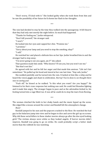"Don't worry, I'll deal with it." She looked guilty when she took them from him and he saw the possibility of her future he'd shown her flash in her thoughts.

\*\*\*

The rain had decided to stay by the time they walked into the passageway. It felt bizarre that they had only met merely the night before. So much had happened.

"Thanks for finding me," Jackie whispered.

"Don't kill yourself," the stranger said.

"I won't."

He looked into her eyes and cupped her chin. "Promise me."

"I promise."

"Sorry about your lamp and you need to stop the smoking, okay?"

"I will."

He watched her and placed a delicate kiss on her lips. Jackie breathed him in and the stranger had to step away.

"I'm never going to see you again, am I?" she asked.

That question made him smile. "Who knows? I'll see you, but you won't see me." "But that's not fair."

He agreed with her and he felt her anger and that made him anxious. "Life isn't fair sometimes." He pulled up his hood and stared at her one last time. "Stay safe, Jackie."

She nodded painfully and he turned into the rain. It lashed at him like a whip and he heard the voices giggle and chant in celebration. *Hurray! You've done it, we thought there was no saving you*!

"Fuck off," he hissed as he walked. "Is this what you want? Are you happy?" He listened in for their crass response but nothing was said. He could feel Brandon fighting and it made him angry. The stranger began to pace and as the adrenaline kicked in, his footing turned into a rage filled run. It was all he could do to stop the tears from flowing.

The woman clutched the knife in her shaky hands and the music hyped up the scene. She edged like a mouse around the corner and Randall felt the atmosphere change.

\*\*\*

#### *Buzz!*

Randall jumped in his seat and the popcorn crashed to the floor. He watched the bad guy in the balaclava jump into view and he began to dice and carve the girl up on screen. Why did these serial killers in these slasher movies always go after the doe eyed looking girls? The victims always wore white so they looked angelic. If horror movies didn't improve, Randall was going to go on strike. He could probably script a better slash movie than the rubbish he was watching.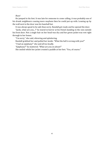#### *Buzz!*

He jumped to his feet. It was late for someone to come calling, it was probably one of his drunk neighbours causing more mayhem then he could put up with. Leaning up by the wall next to the door was his baseball bat.

It was always good to be safe than sorry. Randall got ready and he opened the door.

"Jacks, what are you...?" he stared in horror at his friend standing in the rain outside his front door. Not a single hair on her head was dry and her green jacket was wet right through to her bones.

"I'm sorry," she said, shivering and spluttering.

Randall grabbed her and pulled her inside. "What the hell is wrong with you?"

"I had an epiphany!" she said all too loudly.

"Epiphany?" he muttered. "What are you on about?"

She smiled whilst her jacket created a puddle at her feet. "You, of course."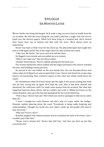# **EPILOGUE** SIX MONTHSLATER

<span id="page-43-0"></span>Hector Starks was being discharged. He'd made a long recovery back to health from his car accident. His wife the sweet thing she was hadn't paid him a single visit, not even to hand over the divorce papers. While he'd been lying in a hospital bed, she'd cleared their home from top to bottom and fled with her lover. She'd always been an opportunist.

Hector was back at Holy Cross for his check up. The physiotherapist had taught him how to walk again and he was at the stage where he only needed one crutch.

"Take care, Mr Starks," the nurse said as he left the clinic.

He flagged a taxi outside and one pulled up in an instant.

"Where can I take you?" the taxi driver asked.

"Heather Street please," Hector replied, getting into the back seat.

The woman behind the wheel nodded and the engine growled to life. Hector watched the trees and buildings sweep past him.

He peered at the coat folded on the seat beside him; the one Brandon Rivers had stolen when he'd flipped out and escaped Holy Cross. Hector had found his escape plan bizarre yet fascinating. How would he expect to flee when the whole world knew his name?

He remembered when he'd been found and the sight of the nurses putting him back into his bed, wiring him up again. He'd kept the coat, after it had been cleaned and laundered. He could have sold it to made some money from his accident. But what had happened between them, Hector felt he couldn't part with it. Whilst he'd been on the mend, Brandon came up to his bed and apologised for his recent behaviour.

"That's okay," Hector had said. "But I think you need to apologise to that nurse rather than me."

"I have, I bought her some flowers and she's said it's water under the bridge," Brandon replied, glancing about the ward. "Everybody is being really forgiving and understanding. I thought my world was over when I woke up, but people still want to hear my music."

"Why not? You're a hero."

Brandon laughed with embarrassment and he scratched the back of his head. "Gee, I wouldn't put it like that."

"Shows you're human kid," Hector had told him, "and that you fuck up just like everybody else."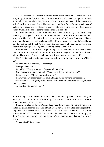At that moment, the barrier between them came down and Hector told him everything, about his life, his career, his wife and the predicament he'd gotten himself in. Brandon told him about the pros and cons about being famous and the heaven and hell of touring in a band. From his experiences at Holy Cross Brandon had tons of material to write new songs. Hector remembered him scribbling away on little shreds of paper, it was like he had to get the words out or he'd explode.

Hector understood the isolation Brandon had spoke of. He nearly sent himself crazy conjuring up images of his wife and her bed fellows and the methods of winning her heart back. Thankfully, the painkillers they fed him kept him knocked out and he'd float in and out of dreams, sometimes for days. His wife was in some of them, she'd be kissing him, loving him and then she'd disappear. The darkness swallowed her up whole and Hector would plunge thrashing and screaming, trying to catch her.

In Brandon's dreams, it was always raining and he mentioned that the water level kept rising as if it wanted to devour him. It was strange sometimes how dreams mirrored how people felt or brought out the things people were trying to hide.

"Hey," the taxi driver said and she smiled at him from the rear view mirror. "Cheer up."

"I would if it were that easy," Hector replied.

"Have you been hurt?"

He nodded. "It's the worst pain I've ever felt in my life."

"Don't worry it will pass," she said. "Out of curiosity, what's your name?"

Hector frowned. "Why do you want to know?"

"I always ask my passengers," she said, adding a casual shrug to her response.

"It's Hector," he said, gazing at her pearly white teeth and her warm hazel eyed gaze. "What's yours?"

She smirked. "I don't have one."

\*\*\*

He was finally back to normal. He could actually and officially say his life was finally on the right track. He could hear them calling his name and the sounds of them out there could have made the walls shake.

Brandon watched as the band's sound engineer Kenny rigged him up with wires and tested his guitar. It made him think of that dream again. He could feel the weight of the amplifier as if it was still shackled to him. The dream with the rain lived in his mind constantly and it became the fuel for the band's new album. That was the only good thing that had come out of his strange memory lapse, inspiration and creativity for new songs.

"You're all set," Kenny said.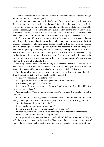"Thanks," Brandon muttered and he watched Kenny move towards Tyler and begin the same sound test on his bass guitar.

He still couldn't remember how he broke out of the hospital and how he got back. But he remembered the reaction on his band's face when they came to visit. Bobby showed him no compassion or affection and told him if he ever pulled another stunt like he did to get drugs, he wouldn't talk to him again. Brandon tried to protest and voice his experience but Bobby walked out of the ward. The person Brandon was before would've held it against him, but now he finally understood why Bobby was the way he was.

His friend stared off into space from the wing of the stage, his brow was pulled down into a frown. Bobby looked as if he was about to fight someone. He was always like that, focused, strong, always planning ahead. Before each show, Brandon would be shooting up in his dressing room. Once he passed out with the needle in his arm and they were just about to go and play. Bobby pounded on the door, shouting that he'd kick it in and beat the shit out of him if he didn't open up and that's exactly what prevailed. Bobby crashed into the dressing room, threw water over Brandon and punched him across the jaw. He woke up and they managed to play the show. The audience didn't have any idea what mayhem had taken place back stage.

One thing Brandon didn't like about being clean was the surveillance. He was sick of being asked if he was okay. But he needed it; if he'd acknowledged the concern maybe he wouldn't have nodded out at the wheel of his car and landed in Holy Cross.

Phoenix stood spinning his drumstick in one hand whilst he tapped the other drumstick against his thigh. It was like he couldn't keep still.

"You okay?" Phoenix asked, looking over.

"I wish people would quit it with the questions," Brandon groaned.

"Just checking buddy! Are you nervous?"

"Everyone in the audience is going to be armed with a glass bottle and I feel like I've got a target on my head."

Phoenix laughed. "They are going to love you. Do you know the tickets sold out in one day?"

He didn't know that and it gave him a sense of warmth. For a moment and then soon enough, dread, guilt and fear came back into play. "How are you not shitting yourself?"

Phoenix shrugged. "I just don't feel like that."

"Fuck, you should have been the front man."

His friend grinned. "I agree, but you suck at percussion so..."

Brandon laughed and Phoenix placed a brotherly kiss of support on his forehead.

"Okay, five minutes left people!" Kenny shouted.

Bobby gathered everyone together and the band huddled into a tight circle. "Right, we're here guys," he said and he looked at Phoenix and Tyler. "I wouldn't swap any of you for the world, you're all great the way you are and I mean it. I wouldn't want to play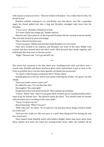with anyone except you three." Then he looked at Brandon. "You really deserve this, I'm proud of you."

Brandon nodded, wanting to cry and Bobby saw him quiver. Just like a guardian angel, his friend pulled him into a hug and Brandon smudged salty tears into his shoulder.

"I'm so sorry," Brandon whispered to him.

"It's water under the bridge pal," Bobby uttered.

Phoenix and Tyler piled in on the hug and Brandon felt the warmth from his family. This was why he had to stop and change.

This is what he lived for now.

"I love you guys," Bobby said and that made Brandon cry even more.

They were locked in an embrace and Brandon lost track of the time. Bobby took control and they formed back into their circle. They pressed their heads together and held hands like they were in the boy scouts.

"Right," Phoenix said. "Let's go and kill 'em."

\*\*\*

The arena was rammed to the hilt, there was 'standing-room only' and there was a reason why. Randall and Renee had been given strict instructions to get as near to the front as possible but it was the same agenda everybody else possessed.

"So what's it like having a roommate then?" Renee asked.

Randall glanced to the bar and he saw Jackie ordering the drinks. "It's good," he said simply.

"Have you made a move on her yet?"

He rolled his eyes. "It's not like that, Ren."

She laughed. "Ha, yeah right."

He grinned at her and shook his head. "She's packed up smoking."

"I know," Renee said. "And I've just gone back on them, got no smoking buddy when I want to go for breaks now." She glanced about the place. "You should come for breaks with me when we're working on the same shifts."

"Sorry, I've given up too."

Renee blanched. "What? You too?"

"Well, why not?" he asked. "It's to help her out and plus those things would've killed me in the end."

"God you two really are like two peas in a pod! Next thing you'll be having his and hers towel sets!"

That remark made Randall smirk with hidden delight. Jackie had never given back those clothes he'd leant her when her heating broke down. After she washed off *his*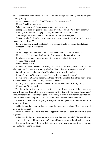blood, sometimes she'd sleep in them. "You can always ask Lonely Leo to be your smoking buddy..."

Renee sniggered cynically. "That'll be when Hell freezes over."

"Hi guys," Jackie announced.

"What's up with you?" Renee asked, taking her beer glass.

Jackie passed the next glass to Randall and sipped her drink. "What do you mean?"

"Buying us dinner and bringing us here," Renee said. "What's it all for?"

"To show you two how much you both mean to me," Jackie replied.

"You've caught the Randall happy drug since you moved in with him and how did you pay for the tickets?"

"She was queuing at the box office at six in the morning to get them," Randall said. "Honestly Jackie?" Renee asked.

"Yep."

Renee chugged back her beer. "What's Randall like as a roommate anyway?" "He's great." Jackie grinned at him. "Don't know why I didn't do it sooner."

He winked at her and sipped his beer. "So how did the job interview go?"

"Terribly," Jackie said.

"Why?" Renee asked.

"I messed up when they started asking me the scenario based questions and I started talking gibberish. I was pretty fed up after but I hadn't had an interview in years."

Randall rubbed her shoulder. "You'll do better with practice, Jacks."

"I know," she said. "Oh and why aren't we further towards the stage?"

"Because we don't have a death wish that's why," Renee stated and then she pointed to the crowd ahead. "Look, that guy's getting squashed."

"I'm only joking," Jackie mused and she rubbed her shoulder. "You silly thing." "I know that," Renee said.

The lights dimmed in the arena and then a line of people behind them swarmed forward and the three of them were nudged further towards the stage. Jackie didn't mind, in fact she'd been aching to get closer. The urgency from the crowd was infectious and it caused Randall to grab Jackie's wrist who then grabbed Renee's elbow.

"If we die in here Jackie I'm going to kill you," Renee squealed as she was pushed in front of her friends.

Jackie slapped her hand on Renee's shoulder, keeping her close. "Deal, you can kill me if we die in here!"

"Deal!" Renee shouted back and she chugged the rest of her beer down with excited eagerness.

Jackie saw the figures move onto the stage and her heart swelled. She saw Phoenix get into position behind his drum set as Tyler and Bobby strummed their guitars to test.

"Bran-don! Bran-don!" the crowd chanted over and over again and then Jackie saw his shadow flood onto the stage.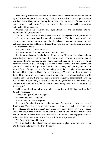People banged their feet, clapped their hands and the vibrations shivered up every leg and arm in the place. A beam of light laid focus at the front of the stage and Jackie held her breath. Then, almost teasing the moment, Brandon stepped forward with his guitar swung across his front. The screams whirled like sirens and Jackie's ears rattled and throbbed from the noise.

Brandon smiled, his beautiful blue eyes shimmered and he leaned into the microphone. "Hi guys, miss me?"

The crowd went ballistic and Jackie watched as his smile grew, touching from ear to ear. The ghost he'd once been had completely vanished. The dark crevices under his eyes were gone, his long messy mane of hair had also disappeared and instead, his hair had been cut into a slick Mohawk. It suited him and she saw his Egyptian eye tattoo more clearly than before.

"It's good to be back," Brandon said.

"Love you Brandon!" someone shouted from the crowd.

He grinned, embarrassed and relieved. "I love you too." He waited for a beat and then he continued. "I just want to say something before we start." He had to take a moment, it was as if he had tripped and he had to save himself before he fell. The crowd waited loyally as he drew in a breath to speak. "I want to thank Bobby, Tyler and Phoenix. You guys are the best friends a guy could have. I want to thank you for putting up with all of my shit for all of these years and for not kicking me to the curb when there was a time that was all I was good for. Thanks for this journey guys." The three of them nodded and Bobby blew him a loving sarcastic kiss. Brandon mimed a grabbing gesture and he smacked his behind with the same hand. Everyone laughed at that moment, including the serious and stoic Bobby who stuck his middle finger at him. Brandon called truce and he turned back to the audience. "But the ones I really need to thank are all of you here tonight."

Jackie clapped and she felt an arm slink around her midriff. "Enjoying it so far?" Randall whispered.

She nuzzled against him. "Loving it."

"I haven't told Renee about us."

"Best not just yet," she whispered.

"I'm sorry for what I've done in the past and I'm sorry for letting you down," Brandon said. "You all mean so much to me and I really appreciate all of the support and the love I received after the accident. You mean a lot to me, to Bobby, Tyler and Phoenix. You're the best fans in the world and you've all saved my life. You're all the reason to live for." Brandon turned back to the band and he mouthed something Jackie couldn't make out and then he turned back to the crowd. "Now...are you ready?"

"Yes!" the crowd roared in unison.

The lights flashed above Jackie and the band began to play. Brandon's voice seeped into the arena and into everybody in the place.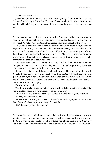"You okay?" Randall asked.

Jackie thought about her answer. "Yeah, I'm really okay." She turned her head and she stared into his eyes. "Now that I have you." A coy smile itched at the corner of his mouth, Jackie felt his grip tighten around her and then he pressed his mouth against hers.

\*\*\*

The stranger had managed to get a seat by the bar. The moment the band appeared on stage he was left alone along with a couple of drifters. He'd looked for a body for the occasion, he'd stalked the streets and then he found one close enough to the arena.

The guy he'd inhabited had drunk so much at the conference in the hotel, by the time he got to his room; he passed out on the floor. He was completely out of it and that made it easier for the stranger to work on the gears of his limbs. He was a big guy, probably did a desk job and ate too much macaroni and cheese. The stranger managed to scuttle to the venue in time before they closed the doors. He paid for a 'standing-room only' ticket with the cash left in the guy's pocket.

The arena was filled with voices, literal and hidden. There were so many the stranger couldn't see the point of drowning them out. He ran his gaze along the crowd. People danced, drank and jumped and then he found her.

He knew she'd be here and she wasn't alone. He watched her canoodle and kiss with Randall, the real angel. There was a part of him that wanted to break them apart and grab hold of her, take her in his arms and whisper all of those things he'd shared with her. His loaned heart ached as he scrutinized their movements. He swallowed the bitter taste of his jealousy and longing.

Fuck, it hurt so much.

The shots of vodka helped numb his pain and he held little sympathy for the body he was using. He was going to have a massive hangover anyway.

*You've done your job*, the devilish voice snapped in his ear. *You've got to let her be*.

"I know," the stranger replied.

He heard the voice stop and hover. *This must be really hard for you, we're sorry, we didn't know. We didn't mean to upset you. This isn't fair.*

"No," the stranger said. "It's not fair."

\*\*\*

The music had been unbelievable, better than before and Jackie was loving every minute of it. All she knew was standing out at six o'clock in the morning in the rain for the tickets was entirely worth it. Fall Into Place had played mostly from their new album, but the band members would occasionally shout out if anyone wanted requests.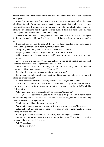Randall asked her if she wanted him to shout out. She didn't want him to but he shouted out anyway.

It was Brandon who heard him as the band started another song and Bobby began with his guitar solo. Brandon moved across the stage to get a better view and he stared straight at Jackie with a knowing look. Her heart jumped in her chest and she suddenly felt sick. For a moment, she thought he looked puzzled. Then her hero shook his head and laughed to himself and he dived into the song.

Jackie turned to Randall as they played and he looked back at her with a cheeky grin. But before she could tell him off, he kissed her and then she forgot about being mad at him.

It was half way through the show at the interval; Jackie decided to buy some drinks. She had to negotiate and push her way through to the bar.

"Sorry, are you in the queue?" she asked the man sat at the bar.

"No you go ahead," he said and gestured for her to move forward.

Jackie ordered her drinks but the staff were preoccupied with the previous customers.

"Are you enjoying the show?" the man asked. He reeked of alcohol and the smell reminded her of those two thugs that had attacked her.

She waited for her order and thought about not responding, but she knew the situation could get hostile very easily. "Yeah, you?"

"I am, but this is something very out of my comfort zone."

He didn't appear to be drunk or aggressive and it calmed her, but only for a moment. "Not a fan of rock music?"

"I like all genres of music but I never go to concerts or anything like that."

The man had a nondescript face. He had a bald head; a large frame and he wore a suit. He wasn't the type Jackie was used to seeing at rock concerts. He probably felt like a fish out of water.

"What made you want to come along?" Jackie asked. "Curiosity?"

"Yes I guess so, someone I used to know was a huge fan and I never really understood why she was so obsessed," he replied and he laughed. But it sounded shy and embarrassed. "But...I get it now."

"You'll have to tell her when you next see her."

"We aren't in contact anymore. Are you with anyone by any chance?" he asked.

Jackie looked at him and she got ready for whatever was coming. "Yeah, my friend and my boyfriend actually."

He put up his hands in surrender. "I'm not trying to hit on you, just asking."

She noticed the barman was finally working on her order. "Sorry, I'm not used to strangers talking to me," Jackie said.

"Why?" he asked.

"Too long to tell you."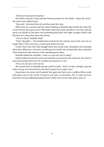"Glad you've got good company."

She didn't respond to that and the barman passed her the drinks. "Enjoy the show," she said as she walked away.

"Stay safe," she heard him call and that made her stop.

Wait, back up a second and she stood thinking as Randall approached her from the crowd. Did he have green eyes? She hadn't paid that much attention to his face and the arena was darkly lit. But there was something that didn't feel right; strangers didn't talk like that, not unless they knew the person.

"Are you okay?" Randall asked.

"Yeah I thought I..." she looked back towards the bar and the man in the suit was no longer there. There was now a vacant spot where he'd sat.

*Could it have been him?* She thought about him all the time. Sometimes she dreamed about him. Whenever customers would pass her booth, she studied their faces and paid close attention to the memory of his sparkling green glare.

Randall rubbed her shoulder. "Jacks, are you sure you're okay?"

Jackie looked around the arena and checked every person she could see. She tried to scan and examine them, but she couldn't see anyone in a suit.

*I'll see you, but you won't see me.*

She turned back to Randall and she smiled tiredly. "Yeah, I'm fine, thought I got the order wrong. Let's head back in, the band's gonna be on again soon."

Sometimes, she swore she'd spotted him again but there were a million billion souls with green eyes in the world. It must've just been a coincidence. No, it could not have been him, because lightning simply doesn't strike twice in the same place...does it?